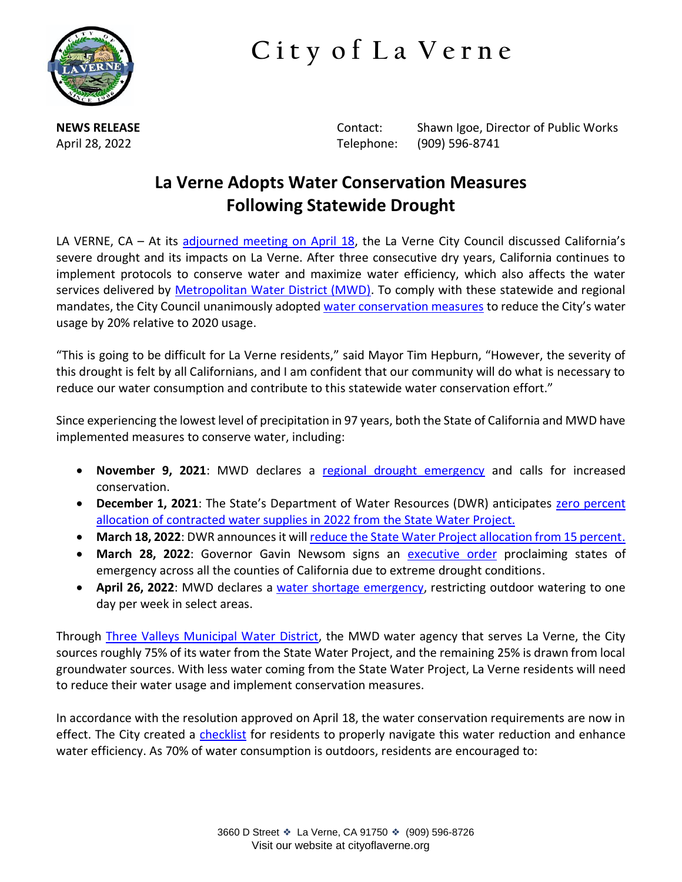

**C i t y o f L a V e r n e**

**NEWS RELEASE Contact:** Shawn Igoe, Director of Public Works April 28, 2022 Telephone: (909) 596-8741

## **La Verne Adopts Water Conservation Measures Following Statewide Drought**

LA VERNE, CA – At its [adjourned meeting on April 18](https://laverneca.new.swagit.com/videos/167589), the La Verne City Council discussed California's severe drought and its impacts on La Verne. After three consecutive dry years, California continues to implement protocols to conserve water and maximize water efficiency, which also affects the water services delivered by [Metropolitan Water District \(MWD\).](https://www.mwdh2o.com/) To comply with these statewide and regional mandates, the City Council unanimously adopte[d water conservation measures](https://www.waterboards.ca.gov/water_issues/programs/conservation_portal/regs/docs/model-level-2-actions-recommendation-memo.pdf) to reduce the City's water usage by 20% relative to 2020 usage.

"This is going to be difficult for La Verne residents," said Mayor Tim Hepburn, "However, the severity of this drought is felt by all Californians, and I am confident that our community will do what is necessary to reduce our water consumption and contribute to this statewide water conservation effort."

Since experiencing the lowest level of precipitation in 97 years, both the State of California and MWD have implemented measures to conserve water, including:

- **November 9, 2021**: MWD declares a [regional drought emergency](https://www.mwdh2o.com/newsroom-press-releases/metropolitan-declares-drought-emergency/) and calls for increased conservation.
- **December 1, 2021**: The State's Department of Water Resources (DWR) anticipates [zero percent](https://water.ca.gov/News/News-Releases/2021/Dec-21/SWP-December-Allocation)  [allocation of contracted water supplies in 2022 from the State Water Project.](https://water.ca.gov/News/News-Releases/2021/Dec-21/SWP-December-Allocation)
- **March 18, 2022**: DWR announces it wil[l reduce the State Water Project allocation from 15 percent.](https://www.ccwa.com/files/e08fbad40/NTC_22-03_SWP_Allocation_20220318.pdf)
- **March 28, 2022**: Governor Gavin Newsom signs an [executive order](https://www.gov.ca.gov/wp-content/uploads/2022/03/March-2022-Drought-EO.pdf) proclaiming states of emergency across all the counties of California due to extreme drought conditions.
- **April 26, 2022**: MWD declares a [water shortage emergency,](https://mwdh2o.legistar.com/View.ashx?M=F&ID=10838150&GUID=3EAF5D95-F527-4B68-9168-D5E14E5C6A0D) restricting outdoor watering to one day per week in select areas.

Through [Three Valleys Municipal Water District,](https://www.threevalleys.com/) the MWD water agency that serves La Verne, the City sources roughly 75% of its water from the State Water Project, and the remaining 25% is drawn from local groundwater sources. With less water coming from the State Water Project, La Verne residents will need to reduce their water usage and implement conservation measures.

In accordance with the resolution approved on April 18, the water conservation requirements are now in effect. The City created a [checklist](https://www.cityoflaverne.org/DocumentCenter/View/1601/Residential-Audit-Checklist-for-Water-Use-Efficiency-PDF?bidId=) for residents to properly navigate this water reduction and enhance water efficiency. As 70% of water consumption is outdoors, residents are encouraged to: